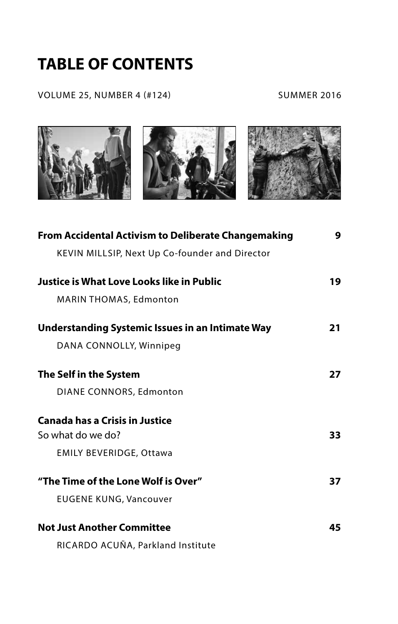## **TABLE OF CONTENTS**

VOLUME 25, NUMBER 4 (#124) SUMMER 2016



| <b>From Accidental Activism to Deliberate Changemaking</b> | 9  |
|------------------------------------------------------------|----|
| KEVIN MILLSIP, Next Up Co-founder and Director             |    |
| Justice is What Love Looks like in Public                  | 19 |
| <b>MARIN THOMAS, Edmonton</b>                              |    |
| <b>Understanding Systemic Issues in an Intimate Way</b>    | 21 |
| DANA CONNOLLY, Winnipeg                                    |    |
| The Self in the System                                     | 27 |
| DIANE CONNORS, Edmonton                                    |    |
| <b>Canada has a Crisis in Justice</b>                      |    |
| So what do we do?                                          | 33 |
| <b>EMILY BEVERIDGE, Ottawa</b>                             |    |
| "The Time of the Lone Wolf is Over"                        | 37 |
| <b>EUGENE KUNG, Vancouver</b>                              |    |
| <b>Not Just Another Committee</b>                          | 45 |
| RICARDO ACUÑA, Parkland Institute                          |    |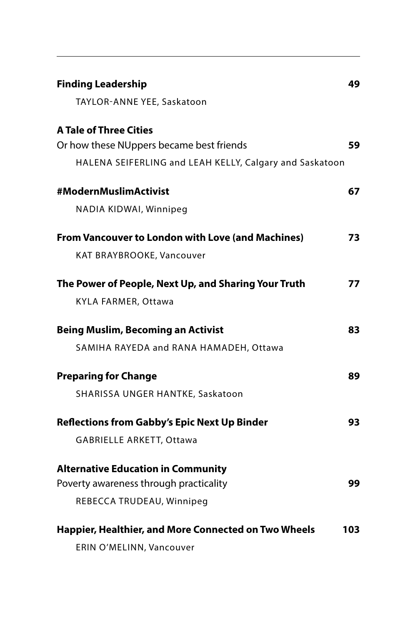| <b>Finding Leadership</b>                                | 49  |
|----------------------------------------------------------|-----|
| TAYLOR-ANNE YEE, Saskatoon                               |     |
| <b>A Tale of Three Cities</b>                            |     |
| Or how these NUppers became best friends                 | 59  |
| HALENA SEIFERLING and LEAH KELLY, Calgary and Saskatoon  |     |
| #ModernMuslimActivist                                    | 67  |
| NADIA KIDWAI, Winnipeg                                   |     |
| <b>From Vancouver to London with Love (and Machines)</b> | 73  |
| KAT BRAYBROOKE, Vancouver                                |     |
| The Power of People, Next Up, and Sharing Your Truth     | 77  |
| KYLA FARMER, Ottawa                                      |     |
| <b>Being Muslim, Becoming an Activist</b>                | 83  |
| SAMIHA RAYEDA and RANA HAMADEH, Ottawa                   |     |
| <b>Preparing for Change</b>                              | 89  |
| SHARISSA UNGER HANTKE, Saskatoon                         |     |
| <b>Reflections from Gabby's Epic Next Up Binder</b>      | 93  |
| GABRIELLE ARKETT, Ottawa                                 |     |
| <b>Alternative Education in Community</b>                |     |
| Poverty awareness through practicality                   | 99  |
| REBECCA TRUDEAU, Winnipeg                                |     |
| Happier, Healthier, and More Connected on Two Wheels     | 103 |
| ERIN O'MELINN, Vancouver                                 |     |